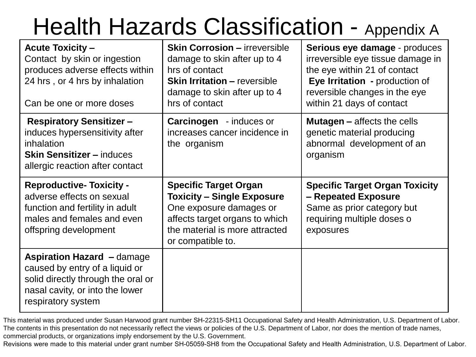# Health Hazards Classification - Appendix A

| <b>Acute Toxicity -</b><br>Contact by skin or ingestion<br>produces adverse effects within<br>24 hrs, or 4 hrs by inhalation<br>Can be one or more doses | <b>Skin Corrosion – irreversible</b><br>damage to skin after up to 4<br>hrs of contact<br><b>Skin Irritation - reversible</b><br>damage to skin after up to 4<br>hrs of contact | Serious eye damage - produces<br>irreversible eye tissue damage in<br>the eye within 21 of contact<br>Eye Irritation - production of<br>reversible changes in the eye<br>within 21 days of contact |
|----------------------------------------------------------------------------------------------------------------------------------------------------------|---------------------------------------------------------------------------------------------------------------------------------------------------------------------------------|----------------------------------------------------------------------------------------------------------------------------------------------------------------------------------------------------|
| <b>Respiratory Sensitizer-</b><br>induces hypersensitivity after<br>inhalation<br><b>Skin Sensitizer - induces</b><br>allergic reaction after contact    | <b>Carcinogen</b> - induces or<br>increases cancer incidence in<br>the organism                                                                                                 | <b>Mutagen – affects the cells</b><br>genetic material producing<br>abnormal development of an<br>organism                                                                                         |
| <b>Reproductive- Toxicity -</b><br>adverse effects on sexual                                                                                             | <b>Specific Target Organ</b><br><b>Toxicity - Single Exposure</b>                                                                                                               | <b>Specific Target Organ Toxicity</b><br>- Repeated Exposure                                                                                                                                       |
| function and fertility in adult<br>males and females and even<br>offspring development                                                                   | One exposure damages or<br>affects target organs to which<br>the material is more attracted<br>or compatible to.                                                                | Same as prior category but<br>requiring multiple doses o<br>exposures                                                                                                                              |

This material was produced under Susan Harwood grant number SH-22315-SH11 Occupational Safety and Health Administration, U.S. Department of Labor. The contents in this presentation do not necessarily reflect the views or policies of the U.S. Department of Labor, nor does the mention of trade names, commercial products, or organizations imply endorsement by the U.S. Government.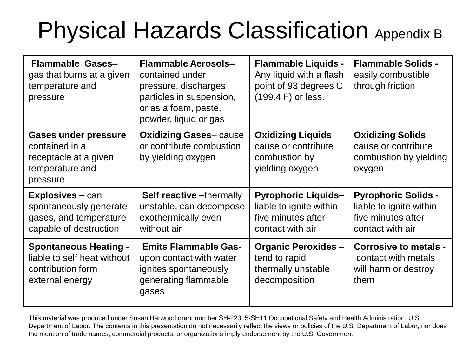## Physical Hazards Classification Appendix B

| <b>Flammable Gases-</b><br>gas that burns at a given<br>temperature and<br>pressure                   | <b>Flammable Aerosols-</b><br>contained under<br>pressure, discharges<br>particles in suspension,<br>or as a foam, paste,<br>powder, liquid or gas | <b>Flammable Liquids -</b><br>Any liquid with a flash<br>point of 93 degrees C<br>$(199.4 F)$ or less. | <b>Flammable Solids -</b><br>easily combustible<br>through friction                             |
|-------------------------------------------------------------------------------------------------------|----------------------------------------------------------------------------------------------------------------------------------------------------|--------------------------------------------------------------------------------------------------------|-------------------------------------------------------------------------------------------------|
| <b>Gases under pressure</b><br>contained in a<br>receptacle at a given<br>temperature and<br>pressure | <b>Oxidizing Gases-cause</b><br>or contribute combustion<br>by yielding oxygen                                                                     | <b>Oxidizing Liquids</b><br>cause or contribute<br>combustion by<br>yielding oxygen                    | <b>Oxidizing Solids</b><br>cause or contribute<br>combustion by yielding<br>oxygen              |
| <b>Explosives – can</b><br>spontaneously generate<br>gases, and temperature<br>capable of destruction | <b>Self reactive -</b> thermally<br>unstable, can decompose<br>exothermically even<br>without air                                                  | <b>Pyrophoric Liquids-</b><br>liable to ignite within<br>five minutes after<br>contact with air        | <b>Pyrophoric Solids -</b><br>liable to ignite within<br>five minutes after<br>contact with air |
| <b>Spontaneous Heating -</b><br>liable to self heat without<br>contribution form<br>external energy   | <b>Emits Flammable Gas-</b><br>upon contact with water<br>ignites spontaneously<br>generating flammable<br>gases                                   | <b>Organic Peroxides-</b><br>tend to rapid<br>thermally unstable<br>decomposition                      | <b>Corrosive to metals -</b><br>contact with metals<br>will harm or destroy<br>them             |

This material was produced under Susan Harwood grant number SH-22315-SH11 Occupational Safety and Health Administration, U.S. Department of Labor. The contents in this presentation do not necessarily reflect the views or policies of the U.S. Department of Labor, nor does the mention of trade names, commercial products, or organizations imply endorsement by the U.S. Government.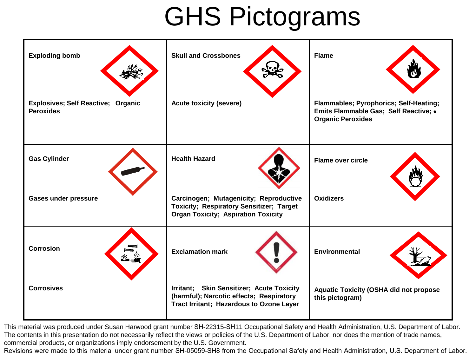# GHS Pictograms

| <b>Exploding bomb</b>                                  | <b>Skull and Crossbones</b>                                                                                                                 | <b>Flame</b>                                                                                                |
|--------------------------------------------------------|---------------------------------------------------------------------------------------------------------------------------------------------|-------------------------------------------------------------------------------------------------------------|
| Explosives; Self Reactive; Organic<br><b>Peroxides</b> | <b>Acute toxicity (severe)</b>                                                                                                              | Flammables; Pyrophorics; Self-Heating;<br>Emits Flammable Gas; Self Reactive; •<br><b>Organic Peroxides</b> |
| <b>Gas Cylinder</b>                                    | <b>Health Hazard</b>                                                                                                                        | <b>Flame over circle</b>                                                                                    |
| <b>Gases under pressure</b>                            | Carcinogen; Mutagenicity; Reproductive<br><b>Toxicity; Respiratory Sensitizer; Target</b><br><b>Organ Toxicity; Aspiration Toxicity</b>     | <b>Oxidizers</b>                                                                                            |
| <b>Corrosion</b>                                       | <b>Exclamation mark</b>                                                                                                                     | <b>Environmental</b>                                                                                        |
| <b>Corrosives</b>                                      | <b>Skin Sensitizer; Acute Toxicity</b><br>Irritant;<br>(harmful); Narcotic effects; Respiratory<br>Tract Irritant; Hazardous to Ozone Layer | <b>Aquatic Toxicity (OSHA did not propose</b><br>this pictogram)                                            |

This material was produced under Susan Harwood grant number SH-22315-SH11 Occupational Safety and Health Administration, U.S. Department of Labor. The contents in this presentation do not necessarily reflect the views or policies of the U.S. Department of Labor, nor does the mention of trade names, commercial products, or organizations imply endorsement by the U.S. Government.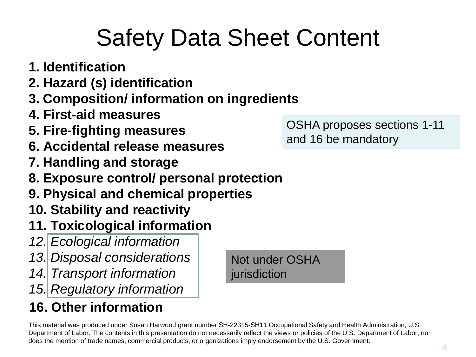# Safety Data Sheet Content

- **1. Identification**
- **2. Hazard (s) identification**
- **3. Composition/ information on ingredients**
- **4. First-aid measures**
- 
- **6. Accidental release measures**
- **7. Handling and storage**
- **8. Exposure control/ personal protection**
- **9. Physical and chemical propert ies**
- **10. Stability and reactivity**
- **11. Toxicological information**
- *12. Ecological information*
- *13. Disposal considerations*
- **14. Transport information**
- *15. Regulatory information*

#### **16. Other information**

Not under OSHA urisdiction

OSHA proposes sections 1-11 **5. Fire-fighting measures** and 16 be mandatory

This material was produced under Susan Harwood grant number SH-22315-SH11 Occupational Safety and Health Administration, U.S. Department of Labor. The contents in this presentation do not necessarily reflect the views or policies of the U.S. Department of Labor, nor does the mention of trade names, commercial products, or organizations imply endorsement by the U.S. Government.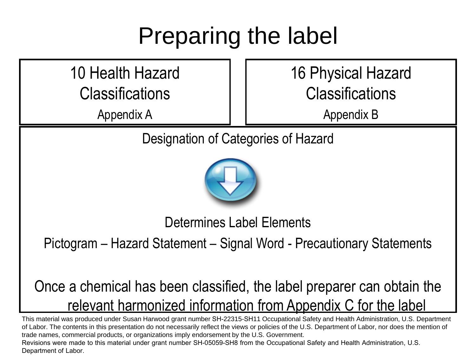### Preparing the label

10 Health Hazard **Classifications** 

16 Physical Hazard **Classifications** 

Appendix A

Appendix B

Designation of Categories of Hazard



Determines Label Elements

Pictogram – Hazard Statement – Signal Word - Precautionary Statements

### Once a chemical has been classified, the label preparer can obtain the relevant harmonized information from Appendix C for the label

This material was produced under Susan Harwood grant number SH-22315-SH11 Occupational Safety and Health Administration, U.S. Department of Labor. The contents in this presentation do not necessarily reflect the views or policies of the U.S. Department of Labor, nor does the mention of trade names, commercial products, or organizations imply endorsement by the U.S. Government.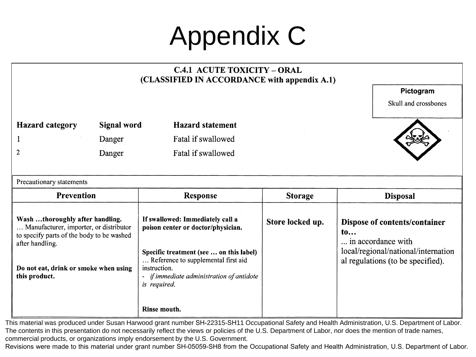# Appendix C

| <b>C.4.1 ACUTE TOXICITY - ORAL</b><br>(CLASSIFIED IN ACCORDANCE with appendix A.1)                                                                                                                  |             |                                                                                                                                                                                                                                       |                  |                                                                                                                                                   |  |  |
|-----------------------------------------------------------------------------------------------------------------------------------------------------------------------------------------------------|-------------|---------------------------------------------------------------------------------------------------------------------------------------------------------------------------------------------------------------------------------------|------------------|---------------------------------------------------------------------------------------------------------------------------------------------------|--|--|
|                                                                                                                                                                                                     |             |                                                                                                                                                                                                                                       |                  | Pictogram<br>Skull and crossbones                                                                                                                 |  |  |
| <b>Hazard category</b>                                                                                                                                                                              | Signal word | <b>Hazard statement</b>                                                                                                                                                                                                               |                  |                                                                                                                                                   |  |  |
| 1                                                                                                                                                                                                   | Danger      | Fatal if swallowed                                                                                                                                                                                                                    |                  |                                                                                                                                                   |  |  |
| $\mathbf{2}$                                                                                                                                                                                        | Danger      | Fatal if swallowed                                                                                                                                                                                                                    |                  |                                                                                                                                                   |  |  |
|                                                                                                                                                                                                     |             |                                                                                                                                                                                                                                       |                  |                                                                                                                                                   |  |  |
| Precautionary statements                                                                                                                                                                            |             |                                                                                                                                                                                                                                       |                  |                                                                                                                                                   |  |  |
| <b>Prevention</b>                                                                                                                                                                                   |             | Response                                                                                                                                                                                                                              | <b>Storage</b>   | <b>Disposal</b>                                                                                                                                   |  |  |
| Wash thoroughly after handling.<br>Manufacturer, importer, or distributor<br>to specify parts of the body to be washed<br>after handling.<br>Do not eat, drink or smoke when using<br>this product. |             | If swallowed: Immediately call a<br>poison center or doctor/physician.<br>Specific treatment (see  on this label)<br>Reference to supplemental first aid<br>instruction.<br>- if immediate administration of antidote<br>is required. | Store locked up. | Dispose of contents/container<br>$\mathbf{t_0}$<br>in accordance with<br>local/regional/national/internation<br>al regulations (to be specified). |  |  |
|                                                                                                                                                                                                     |             | Rinse mouth.                                                                                                                                                                                                                          |                  |                                                                                                                                                   |  |  |

This material was produced under Susan Harwood grant number SH-22315-SH11 Occupational Safety and Health Administration, U.S. Department of Labor. The contents in this presentation do not necessarily reflect the views or policies of the U.S. Department of Labor, nor does the mention of trade names, commercial products, or organizations imply endorsement by the U.S. Government.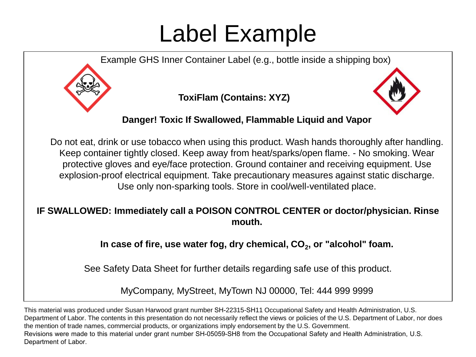### Label Example

Example GHS Inner Container Label (e.g., bottle inside a shipping box)



**ToxiFlam (Contains: XYZ)** 



**Danger! Toxic If Swallowed, Flammable Liquid and Vapor** 

Do not eat, drink or use tobacco when using this product. Wash hands thoroughly after handling. Keep container tightly closed. Keep away from heat/sparks/open flame. - No smoking. Wear protective gloves and eye/face protection. Ground container and receiving equipment. Use explosion-proof electrical equipment. Take precautionary measures against static discharge. Use only non-sparking tools. Store in cool/well-ventilated place.

#### **IF SWALLOWED: Immediately call a POISON CONTROL CENTER or doctor/physician. Rinse mouth.**

In case of fire, use water fog, dry chemical, CO<sub>2</sub>, or "alcohol" foam.

See Safety Data Sheet for further details regarding safe use of this product.

MyCompany, MyStreet, MyTown NJ 00000, Tel: 444 999 9999

This material was produced under Susan Harwood grant number SH-22315-SH11 Occupational Safety and Health Administration, U.S. Department of Labor. The contents in this presentation do not necessarily reflect the views or policies of the U.S. Department of Labor, nor does the mention of trade names, commercial products, or organizations imply endorsement by the U.S. Government. Revisions were made to this material under grant number SH-05059-SH8 from the Occupational Safety and Health Administration, U.S. Department of Labor.